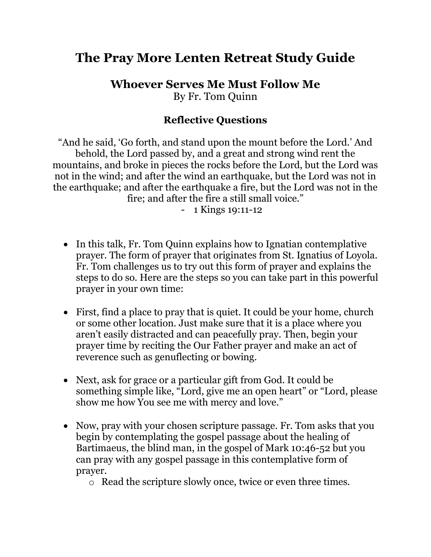## **The Pray More Lenten Retreat Study Guide**

**Whoever Serves Me Must Follow Me**  By Fr. Tom Quinn

## **Reflective Questions**

"And he said, 'Go forth, and stand upon the mount before the Lord.' And behold, the Lord passed by, and a great and strong wind rent the mountains, and broke in pieces the rocks before the Lord, but the Lord was not in the wind; and after the wind an earthquake, but the Lord was not in the earthquake; and after the earthquake a fire, but the Lord was not in the fire; and after the fire a still small voice."

- 1 Kings 19:11-12

- In this talk, Fr. Tom Quinn explains how to Ignatian contemplative prayer. The form of prayer that originates from St. Ignatius of Loyola. Fr. Tom challenges us to try out this form of prayer and explains the steps to do so. Here are the steps so you can take part in this powerful prayer in your own time:
- First, find a place to pray that is quiet. It could be your home, church or some other location. Just make sure that it is a place where you aren't easily distracted and can peacefully pray. Then, begin your prayer time by reciting the Our Father prayer and make an act of reverence such as genuflecting or bowing.
- Next, ask for grace or a particular gift from God. It could be something simple like, "Lord, give me an open heart" or "Lord, please show me how You see me with mercy and love."
- Now, pray with your chosen scripture passage. Fr. Tom asks that you begin by contemplating the gospel passage about the healing of Bartimaeus, the blind man, in the gospel of Mark 10:46-52 but you can pray with any gospel passage in this contemplative form of prayer.

o Read the scripture slowly once, twice or even three times.